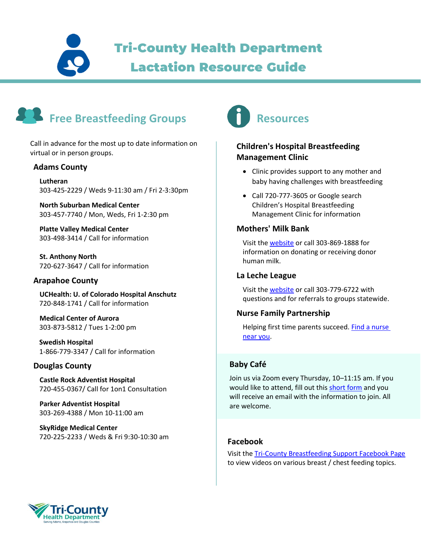Tri-County Health Department

# Lactation Resource Guide



Call in advance for the most up to date information on virtual or in person groups.

#### **Adams County**

**Lutheran** 303-425-2229 / Weds 9-11:30 am / Fri 2-3:30pm

**North Suburban Medical Center** 303-457-7740 / Mon, Weds, Fri 1-2:30 pm

**Platte Valley Medical Center** 303-498-3414 / Call for information

**St. Anthony North** 720-627-3647 / Call for information

#### **Arapahoe County**

**UCHealth: U. of Colorado Hospital Anschutz** 720-848-1741 / Call for information

**Medical Center of Aurora** 303-873-5812 / Tues 1-2:00 pm

**Swedish Hospital** 1-866-779-3347 / Call for information

#### **Douglas County**

**Castle Rock Adventist Hospital** 720-455-0367/ Call for 1on1 Consultation

**Parker Adventist Hospital** 303-269-4388 / Mon 10-11:00 am

**SkyRidge Medical Center** 720-225-2233 / Weds & Fri 9:30-10:30 am



## **Children's Hospital Breastfeeding Management Clinic**

- Clinic provides support to any mother and baby having challenges with breastfeeding
- Call 720-777-3605 or Google search Children's Hospital Breastfeeding Management Clinic for information

#### **Mothers' Milk Bank**

Visit th[e website](http://www.rmchildren.org/mothers-milk-bank) or call 303-869-1888 for information on donating or receiving donor human milk.

#### **La Leche League**

Visit th[e website](https://www.llli.org/la-leche-league-online-support-resources/) or call 303-779-6722 with questions and for referrals to groups statewide.

#### **Nurse Family Partnership**

Helping first time parents succeed. [Find a nurse](http://www.tchd.org/352/Nurse-Family-Partnership)  [near you.](http://www.tchd.org/352/Nurse-Family-Partnership)

### **Baby Café**

Join us via Zoom every Thursday, 10–11:15 am. If you would like to attend, fill out this [short form](https://tinyurl.com/ybyv7d4t) and you will receive an email with the information to join. All are welcome.

#### **Facebook**

Visit the [Tri-County Breastfeeding Support Facebook Page](https://www.facebook.com/tchdbreastfeedingsupport/) to view videos on various breast / chest feeding topics.